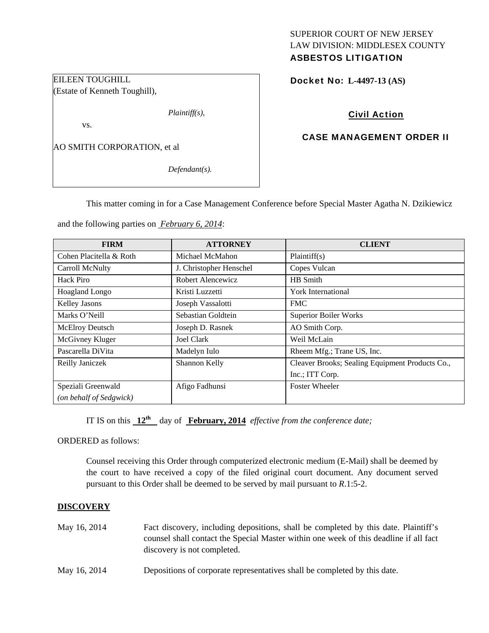# SUPERIOR COURT OF NEW JERSEY LAW DIVISION: MIDDLESEX COUNTY

# ASBESTOS LITIGATION

Docket No: **L-4497-13 (AS)** 

### Civil Action

### CASE MANAGEMENT ORDER II

AO SMITH CORPORATION, et al

*Defendant(s).* 

*Plaintiff(s),* 

This matter coming in for a Case Management Conference before Special Master Agatha N. Dzikiewicz

and the following parties on *February 6, 2014*:

| <b>FIRM</b>             | <b>ATTORNEY</b>         | <b>CLIENT</b>                                   |
|-------------------------|-------------------------|-------------------------------------------------|
| Cohen Placitella & Roth | Michael McMahon         | Plaintiff(s)                                    |
| Carroll McNulty         | J. Christopher Henschel | Copes Vulcan                                    |
| Hack Piro               | Robert Alencewicz       | HB Smith                                        |
| Hoagland Longo          | Kristi Luzzetti         | York International                              |
| Kelley Jasons           | Joseph Vassalotti       | <b>FMC</b>                                      |
| Marks O'Neill           | Sebastian Goldtein      | <b>Superior Boiler Works</b>                    |
| McElroy Deutsch         | Joseph D. Rasnek        | AO Smith Corp.                                  |
| McGivney Kluger         | <b>Joel Clark</b>       | Weil McLain                                     |
| Pascarella DiVita       | Madelyn Iulo            | Rheem Mfg.; Trane US, Inc.                      |
| Reilly Janiczek         | Shannon Kelly           | Cleaver Brooks; Sealing Equipment Products Co., |
|                         |                         | Inc.; ITT Corp.                                 |
| Speziali Greenwald      | Afigo Fadhunsi          | <b>Foster Wheeler</b>                           |
| (on behalf of Sedgwick) |                         |                                                 |

IT IS on this  $12^{th}$  day of **February, 2014** *effective from the conference date;* 

ORDERED as follows:

Counsel receiving this Order through computerized electronic medium (E-Mail) shall be deemed by the court to have received a copy of the filed original court document. Any document served pursuant to this Order shall be deemed to be served by mail pursuant to *R*.1:5-2.

#### **DISCOVERY**

| May 16, 2014 | Fact discovery, including depositions, shall be completed by this date. Plaintiff's   |
|--------------|---------------------------------------------------------------------------------------|
|              | counsel shall contact the Special Master within one week of this deadline if all fact |
|              | discovery is not completed.                                                           |
|              |                                                                                       |

May 16, 2014 Depositions of corporate representatives shall be completed by this date.

# EILEEN TOUGHILL (Estate of Kenneth Toughill),

vs.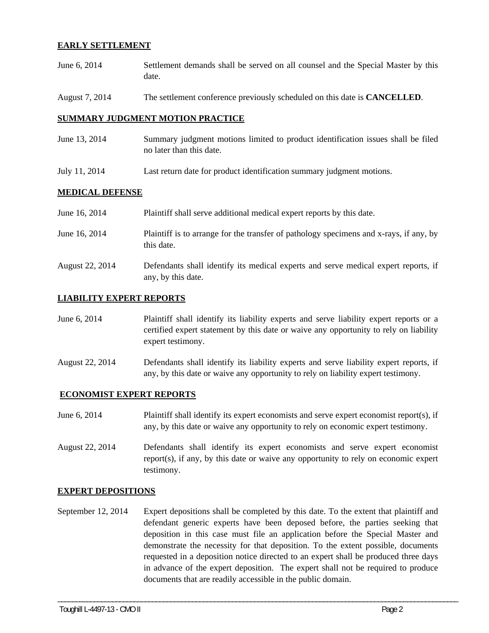#### **EARLY SETTLEMENT**

- June 6, 2014 Settlement demands shall be served on all counsel and the Special Master by this date.
- August 7, 2014 The settlement conference previously scheduled on this date is **CANCELLED**.

#### **SUMMARY JUDGMENT MOTION PRACTICE**

- June 13, 2014 Summary judgment motions limited to product identification issues shall be filed no later than this date.
- July 11, 2014 Last return date for product identification summary judgment motions.

#### **MEDICAL DEFENSE**

| June 16, 2014   | Plaintiff shall serve additional medical expert reports by this date.                                    |
|-----------------|----------------------------------------------------------------------------------------------------------|
| June 16, 2014   | Plaintiff is to arrange for the transfer of pathology specimens and x-rays, if any, by<br>this date.     |
| August 22, 2014 | Defendants shall identify its medical experts and serve medical expert reports, if<br>any, by this date. |

#### **LIABILITY EXPERT REPORTS**

June 6, 2014 Plaintiff shall identify its liability experts and serve liability expert reports or a certified expert statement by this date or waive any opportunity to rely on liability expert testimony.

August 22, 2014 Defendants shall identify its liability experts and serve liability expert reports, if any, by this date or waive any opportunity to rely on liability expert testimony.

#### **ECONOMIST EXPERT REPORTS**

June 6, 2014 Plaintiff shall identify its expert economists and serve expert economist report(s), if any, by this date or waive any opportunity to rely on economic expert testimony.

August 22, 2014 Defendants shall identify its expert economists and serve expert economist report(s), if any, by this date or waive any opportunity to rely on economic expert testimony.

#### **EXPERT DEPOSITIONS**

September 12, 2014 Expert depositions shall be completed by this date. To the extent that plaintiff and defendant generic experts have been deposed before, the parties seeking that deposition in this case must file an application before the Special Master and demonstrate the necessity for that deposition. To the extent possible, documents requested in a deposition notice directed to an expert shall be produced three days in advance of the expert deposition. The expert shall not be required to produce documents that are readily accessible in the public domain.

\_\_\_\_\_\_\_\_\_\_\_\_\_\_\_\_\_\_\_\_\_\_\_\_\_\_\_\_\_\_\_\_\_\_\_\_\_\_\_\_\_\_\_\_\_\_\_\_\_\_\_\_\_\_\_\_\_\_\_\_\_\_\_\_\_\_\_\_\_\_\_\_\_\_\_\_\_\_\_\_\_\_\_\_\_\_\_\_\_\_\_\_\_\_\_\_\_\_\_\_\_\_\_\_\_\_\_\_\_\_